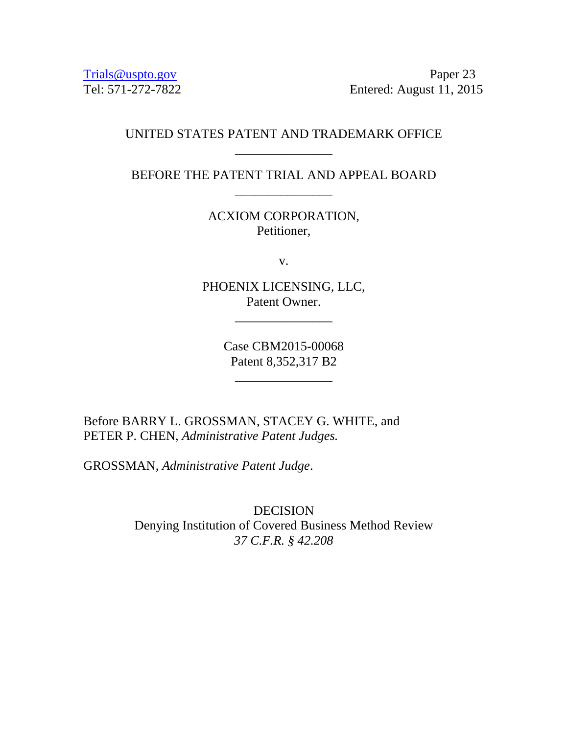[Trials@uspto.gov](mailto:Trials@uspto.gov) Paper 23 Tel: 571-272-7822 Entered: August 11, 2015

# UNITED STATES PATENT AND TRADEMARK OFFICE \_\_\_\_\_\_\_\_\_\_\_\_\_\_\_

BEFORE THE PATENT TRIAL AND APPEAL BOARD \_\_\_\_\_\_\_\_\_\_\_\_\_\_\_

> ACXIOM CORPORATION, Petitioner,

> > v.

PHOENIX LICENSING, LLC, Patent Owner.

\_\_\_\_\_\_\_\_\_\_\_\_\_\_\_

Case CBM2015-00068 Patent 8,352,317 B2

\_\_\_\_\_\_\_\_\_\_\_\_\_\_\_

Before BARRY L. GROSSMAN, STACEY G. WHITE, and PETER P. CHEN, *Administrative Patent Judges.* 

GROSSMAN, *Administrative Patent Judge*.

DECISION Denying Institution of Covered Business Method Review *37 C.F.R. § 42.208*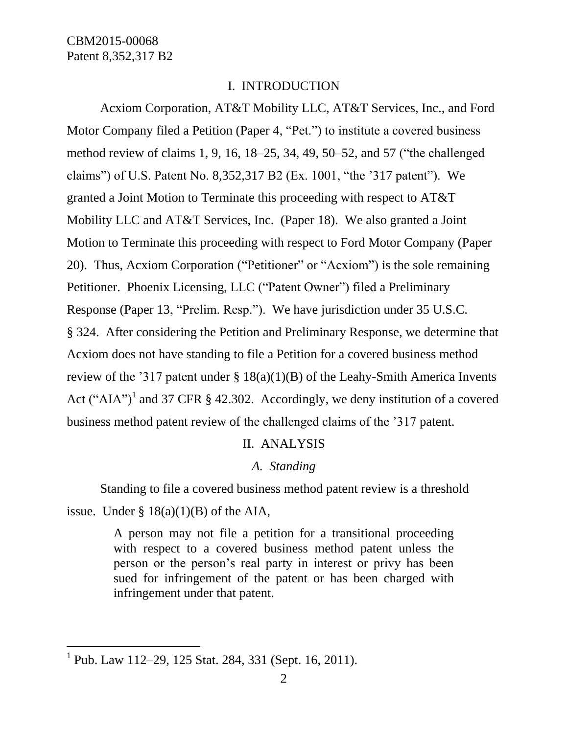## I. INTRODUCTION

Acxiom Corporation, AT&T Mobility LLC, AT&T Services, Inc., and Ford Motor Company filed a Petition (Paper 4, "Pet.") to institute a covered business method review of claims 1, 9, 16, 18–25, 34, 49, 50–52, and 57 ("the challenged claims") of U.S. Patent No. 8,352,317 B2 (Ex. 1001, "the '317 patent"). We granted a Joint Motion to Terminate this proceeding with respect to AT&T Mobility LLC and AT&T Services, Inc. (Paper 18). We also granted a Joint Motion to Terminate this proceeding with respect to Ford Motor Company (Paper 20). Thus, Acxiom Corporation ("Petitioner" or "Acxiom") is the sole remaining Petitioner. Phoenix Licensing, LLC ("Patent Owner") filed a Preliminary Response (Paper 13, "Prelim. Resp."). We have jurisdiction under 35 U.S.C. § 324. After considering the Petition and Preliminary Response, we determine that Acxiom does not have standing to file a Petition for a covered business method review of the '317 patent under  $\S 18(a)(1)(B)$  of the Leahy-Smith America Invents Act ("AIA")<sup>1</sup> and 37 CFR § 42.302. Accordingly, we deny institution of a covered business method patent review of the challenged claims of the '317 patent.

## II. ANALYSIS

## *A. Standing*

Standing to file a covered business method patent review is a threshold issue. Under  $\S$  18(a)(1)(B) of the AIA,

> A person may not file a petition for a transitional proceeding with respect to a covered business method patent unless the person or the person's real party in interest or privy has been sued for infringement of the patent or has been charged with infringement under that patent.

 $\overline{a}$ 

<sup>&</sup>lt;sup>1</sup> Pub. Law 112–29, 125 Stat. 284, 331 (Sept. 16, 2011).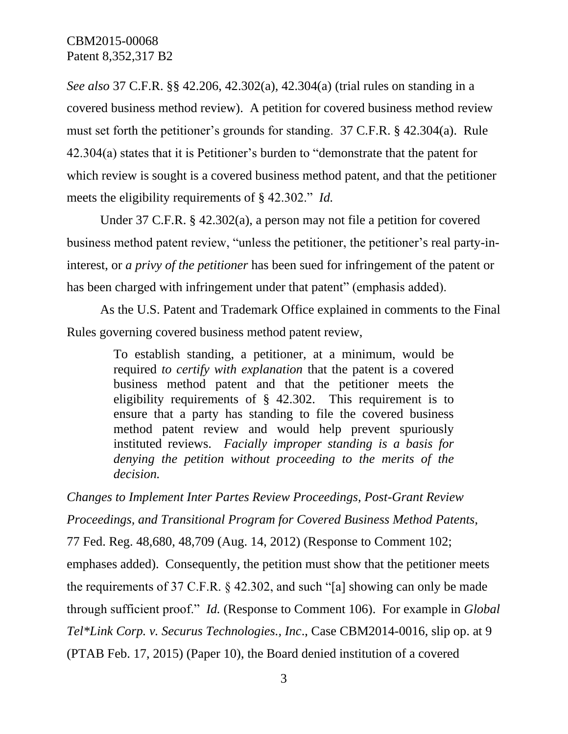*See also* 37 C.F.R. §§ 42.206, 42.302(a), 42.304(a) (trial rules on standing in a covered business method review). A petition for covered business method review must set forth the petitioner's grounds for standing. 37 C.F.R. § 42.304(a). Rule 42.304(a) states that it is Petitioner's burden to "demonstrate that the patent for which review is sought is a covered business method patent, and that the petitioner meets the eligibility requirements of § 42.302." *Id.*

Under 37 C.F.R. § 42.302(a), a person may not file a petition for covered business method patent review, "unless the petitioner, the petitioner's real party-ininterest, or *a privy of the petitioner* has been sued for infringement of the patent or has been charged with infringement under that patent" (emphasis added).

As the U.S. Patent and Trademark Office explained in comments to the Final Rules governing covered business method patent review,

> To establish standing, a petitioner, at a minimum, would be required *to certify with explanation* that the patent is a covered business method patent and that the petitioner meets the eligibility requirements of § 42.302. This requirement is to ensure that a party has standing to file the covered business method patent review and would help prevent spuriously instituted reviews. *Facially improper standing is a basis for denying the petition without proceeding to the merits of the decision.*

*Changes to Implement Inter Partes Review Proceedings, Post-Grant Review Proceedings, and Transitional Program for Covered Business Method Patents*,

77 Fed. Reg. 48,680, 48,709 (Aug. 14, 2012) (Response to Comment 102; emphases added). Consequently, the petition must show that the petitioner meets the requirements of 37 C.F.R. § 42.302, and such "[a] showing can only be made through sufficient proof." *Id.* (Response to Comment 106). For example in *Global Tel\*Link Corp. v. Securus Technologies., Inc*., Case CBM2014-0016, slip op. at 9 (PTAB Feb. 17, 2015) (Paper 10), the Board denied institution of a covered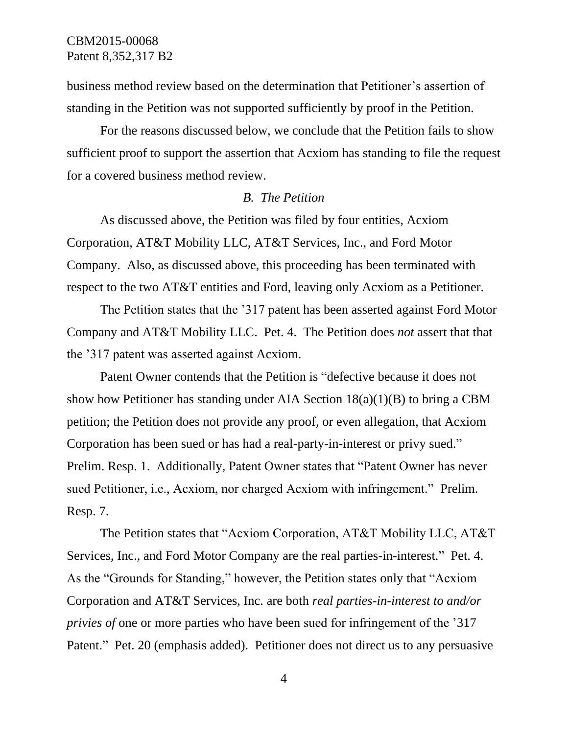business method review based on the determination that Petitioner's assertion of standing in the Petition was not supported sufficiently by proof in the Petition.

For the reasons discussed below, we conclude that the Petition fails to show sufficient proof to support the assertion that Acxiom has standing to file the request for a covered business method review.

#### *B. The Petition*

As discussed above, the Petition was filed by four entities, Acxiom Corporation, AT&T Mobility LLC, AT&T Services, Inc., and Ford Motor Company. Also, as discussed above, this proceeding has been terminated with respect to the two AT&T entities and Ford, leaving only Acxiom as a Petitioner.

The Petition states that the '317 patent has been asserted against Ford Motor Company and AT&T Mobility LLC. Pet. 4. The Petition does *not* assert that that the '317 patent was asserted against Acxiom.

Patent Owner contends that the Petition is "defective because it does not show how Petitioner has standing under AIA Section  $18(a)(1)(B)$  to bring a CBM petition; the Petition does not provide any proof, or even allegation, that Acxiom Corporation has been sued or has had a real-party-in-interest or privy sued." Prelim. Resp. 1. Additionally, Patent Owner states that "Patent Owner has never sued Petitioner, i.e., Acxiom, nor charged Acxiom with infringement." Prelim. Resp. 7.

The Petition states that "Acxiom Corporation, AT&T Mobility LLC, AT&T Services, Inc., and Ford Motor Company are the real parties-in-interest." Pet. 4. As the "Grounds for Standing," however, the Petition states only that "Acxiom Corporation and AT&T Services, Inc. are both *real parties-in-interest to and/or privies of* one or more parties who have been sued for infringement of the '317 Patent." Pet. 20 (emphasis added). Petitioner does not direct us to any persuasive

4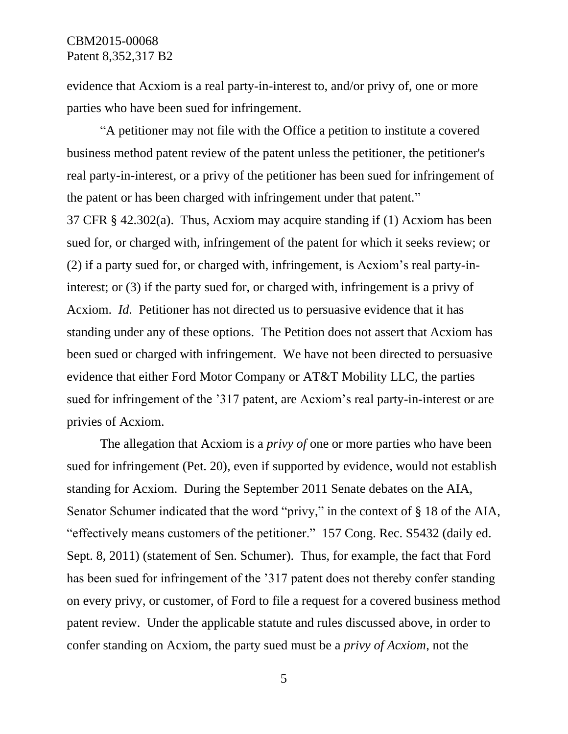evidence that Acxiom is a real party-in-interest to, and/or privy of, one or more parties who have been sued for infringement.

"A petitioner may not file with the Office a petition to institute a covered business method patent review of the patent unless the petitioner, the petitioner's real party-in-interest, or a privy of the petitioner has been sued for infringement of the patent or has been charged with infringement under that patent."

37 CFR § 42.302(a). Thus, Acxiom may acquire standing if (1) Acxiom has been sued for, or charged with, infringement of the patent for which it seeks review; or (2) if a party sued for, or charged with, infringement, is Acxiom's real party-ininterest; or (3) if the party sued for, or charged with, infringement is a privy of Acxiom. *Id.* Petitioner has not directed us to persuasive evidence that it has standing under any of these options. The Petition does not assert that Acxiom has been sued or charged with infringement. We have not been directed to persuasive evidence that either Ford Motor Company or AT&T Mobility LLC, the parties sued for infringement of the '317 patent, are Acxiom's real party-in-interest or are privies of Acxiom.

The allegation that Acxiom is a *privy of* one or more parties who have been sued for infringement (Pet. 20), even if supported by evidence, would not establish standing for Acxiom. During the September 2011 Senate debates on the AIA, Senator Schumer indicated that the word "privy," in the context of § 18 of the AIA, "effectively means customers of the petitioner." 157 Cong. Rec. S5432 (daily ed. Sept. 8, 2011) (statement of Sen. Schumer). Thus, for example, the fact that Ford has been sued for infringement of the '317 patent does not thereby confer standing on every privy, or customer, of Ford to file a request for a covered business method patent review. Under the applicable statute and rules discussed above, in order to confer standing on Acxiom, the party sued must be a *privy of Acxiom*, not the

5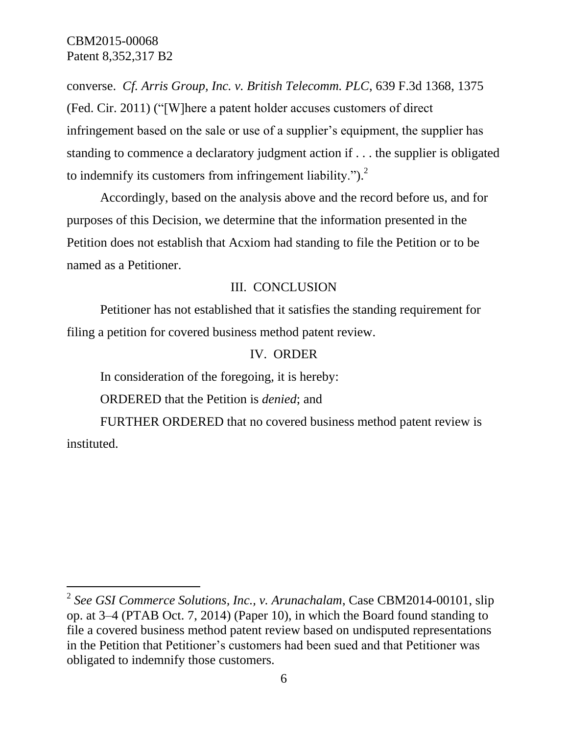CBM2015-00068 Patent 8,352,317 B2

l

converse. *Cf. Arris Group, Inc. v. British Telecomm. PLC*, 639 F.3d 1368, 1375 (Fed. Cir. 2011) ("[W]here a patent holder accuses customers of direct infringement based on the sale or use of a supplier's equipment, the supplier has standing to commence a declaratory judgment action if . . . the supplier is obligated to indemnify its customers from infringement liability." $)^2$ .

Accordingly, based on the analysis above and the record before us, and for purposes of this Decision, we determine that the information presented in the Petition does not establish that Acxiom had standing to file the Petition or to be named as a Petitioner.

## III. CONCLUSION

Petitioner has not established that it satisfies the standing requirement for filing a petition for covered business method patent review.

#### IV. ORDER

In consideration of the foregoing, it is hereby:

ORDERED that the Petition is *denied*; and

FURTHER ORDERED that no covered business method patent review is instituted.

<sup>2</sup> *See GSI Commerce Solutions, Inc., v. Arunachalam*, Case CBM2014-00101, slip op. at 3–4 (PTAB Oct. 7, 2014) (Paper 10), in which the Board found standing to file a covered business method patent review based on undisputed representations in the Petition that Petitioner's customers had been sued and that Petitioner was obligated to indemnify those customers.